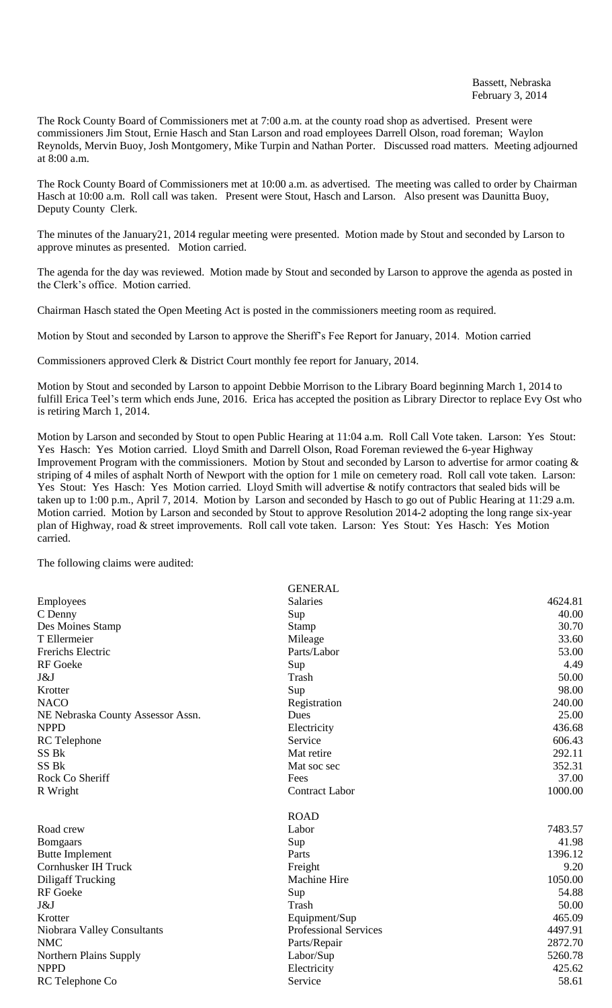The Rock County Board of Commissioners met at 7:00 a.m. at the county road shop as advertised. Present were commissioners Jim Stout, Ernie Hasch and Stan Larson and road employees Darrell Olson, road foreman; Waylon Reynolds, Mervin Buoy, Josh Montgomery, Mike Turpin and Nathan Porter. Discussed road matters. Meeting adjourned at 8:00 a.m.

The Rock County Board of Commissioners met at 10:00 a.m. as advertised. The meeting was called to order by Chairman Hasch at 10:00 a.m. Roll call was taken. Present were Stout, Hasch and Larson. Also present was Daunitta Buoy, Deputy County Clerk.

The minutes of the January21, 2014 regular meeting were presented. Motion made by Stout and seconded by Larson to approve minutes as presented. Motion carried.

The agenda for the day was reviewed. Motion made by Stout and seconded by Larson to approve the agenda as posted in the Clerk's office. Motion carried.

Chairman Hasch stated the Open Meeting Act is posted in the commissioners meeting room as required.

Motion by Stout and seconded by Larson to approve the Sheriff's Fee Report for January, 2014. Motion carried

Commissioners approved Clerk & District Court monthly fee report for January, 2014.

Motion by Stout and seconded by Larson to appoint Debbie Morrison to the Library Board beginning March 1, 2014 to fulfill Erica Teel's term which ends June, 2016. Erica has accepted the position as Library Director to replace Evy Ost who is retiring March 1, 2014.

Motion by Larson and seconded by Stout to open Public Hearing at 11:04 a.m. Roll Call Vote taken. Larson: Yes Stout: Yes Hasch: Yes Motion carried. Lloyd Smith and Darrell Olson, Road Foreman reviewed the 6-year Highway Improvement Program with the commissioners. Motion by Stout and seconded by Larson to advertise for armor coating  $\&$ striping of 4 miles of asphalt North of Newport with the option for 1 mile on cemetery road. Roll call vote taken. Larson: Yes Stout: Yes Hasch: Yes Motion carried. Lloyd Smith will advertise & notify contractors that sealed bids will be taken up to 1:00 p.m., April 7, 2014. Motion by Larson and seconded by Hasch to go out of Public Hearing at 11:29 a.m. Motion carried. Motion by Larson and seconded by Stout to approve Resolution 2014-2 adopting the long range six-year plan of Highway, road & street improvements. Roll call vote taken. Larson: Yes Stout: Yes Hasch: Yes Motion carried.

The following claims were audited:

|                                   | <b>GENERAL</b>               |         |
|-----------------------------------|------------------------------|---------|
| Employees                         | Salaries                     | 4624.81 |
| C Denny                           | Sup                          | 40.00   |
| Des Moines Stamp                  | Stamp                        | 30.70   |
| T Ellermeier                      | Mileage                      | 33.60   |
| <b>Frerichs Electric</b>          | Parts/Labor                  | 53.00   |
| <b>RF</b> Goeke                   | Sup                          | 4.49    |
| J&J                               | Trash                        | 50.00   |
| Krotter                           | Sup                          | 98.00   |
| <b>NACO</b>                       | Registration                 | 240.00  |
| NE Nebraska County Assessor Assn. | Dues                         | 25.00   |
| <b>NPPD</b>                       | Electricity                  | 436.68  |
| <b>RC</b> Telephone               | Service                      | 606.43  |
| SS Bk                             | Mat retire                   | 292.11  |
| SS Bk                             | Mat soc sec                  | 352.31  |
| Rock Co Sheriff                   | Fees                         | 37.00   |
| R Wright                          | <b>Contract Labor</b>        | 1000.00 |
|                                   | <b>ROAD</b>                  |         |
| Road crew                         | Labor                        | 7483.57 |
| <b>Bomgaars</b>                   | Sup                          | 41.98   |
| <b>Butte Implement</b>            | Parts                        | 1396.12 |
| Cornhusker IH Truck               | Freight                      | 9.20    |
| <b>Diligaff Trucking</b>          | Machine Hire                 | 1050.00 |
| <b>RF</b> Goeke                   | Sup                          | 54.88   |
| J&J                               | Trash                        | 50.00   |
| Krotter                           | Equipment/Sup                | 465.09  |
| Niobrara Valley Consultants       | <b>Professional Services</b> | 4497.91 |
| <b>NMC</b>                        | Parts/Repair                 | 2872.70 |
| Northern Plains Supply            | Labor/Sup                    | 5260.78 |
| <b>NPPD</b>                       | Electricity                  | 425.62  |
| RC Telephone Co                   | Service                      | 58.61   |